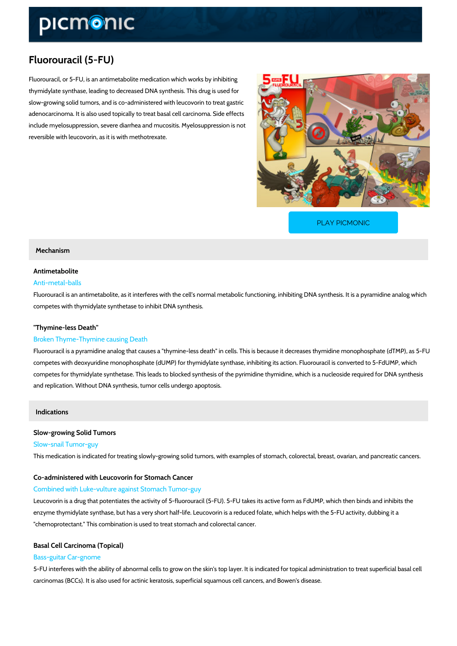# Fluorouracil (5-FU)

Fluorouracil, or 5-FU, is an antimetabolite medication which works by inhibiting thymidylate synthase, leading to decreased DNA synthesis. This drug is used for slow-growing solid tumors, and is co-administered with leucovorin to treat gastric adenocarcinoma. It is also used topically to treat basal cell carcinoma. Side effects include myelosuppression, severe diarrhea and mucositis. Myelosuppression is not reversible with leucovorin, as it is with methotrexate.

[PLAY PICMONIC](https://www.picmonic.com/learn/fluorouracil-5-fu_2314?utm_source=downloadable_content&utm_medium=distributedcontent&utm_campaign=pathways_pdf&utm_content=Fluorouracil (5-FU)&utm_ad_group=leads&utm_market=all)

#### Mechanism

### Antimetabolite Anti-metal-balls

Fluorouracil is an antimetabolite, as it interferes with the cell s normal metabolic functioning competes with thymidylate synthetase to inhibit DNA synthesis.

### "Thymine-less Death"

### Broken Thyme-Thymine causing Death

Fluorouracil is a pyramidine analog that causes a "thymine-less death" in cells. This is becau competes with deoxyuridine monophosphate (dUMP) for thymidylate synthase, inhibiting its ac competes for thymidylate synthetase. This leads to blocked synthesis of the pyrimidine thymic and replication. Without DNA synthesis, tumor cells undergo apoptosis.

### Indications

Slow-growing Solid Tumors Slow-snail Tumor-guy This medication is indicated for treating slowly-growing solid tumors, with examples of stomac

Co-administered with Leucovorin for Stomach Cancer Combined with Luke-vulture against Stomach Tumor-guy

Leucovorin is a drug that potentiates the activity of 5-fluorouracil (5-FU). 5-FU takes its activ enzyme thymidylate synthase, but has a very short half-life. Leucovorin is a reduced folate, w "chemoprotectant." This combination is used to treat stomach and colorectal cancer.

## Basal Cell Carcinoma (Topical) Bass-guitar Car-gnome

5-FU interferes with the ability of abnormal cells to grow on the skin's top layer. It is indicate carcinomas (BCCs). It is also used for actinic keratosis, superficial squamous cell cancers, a